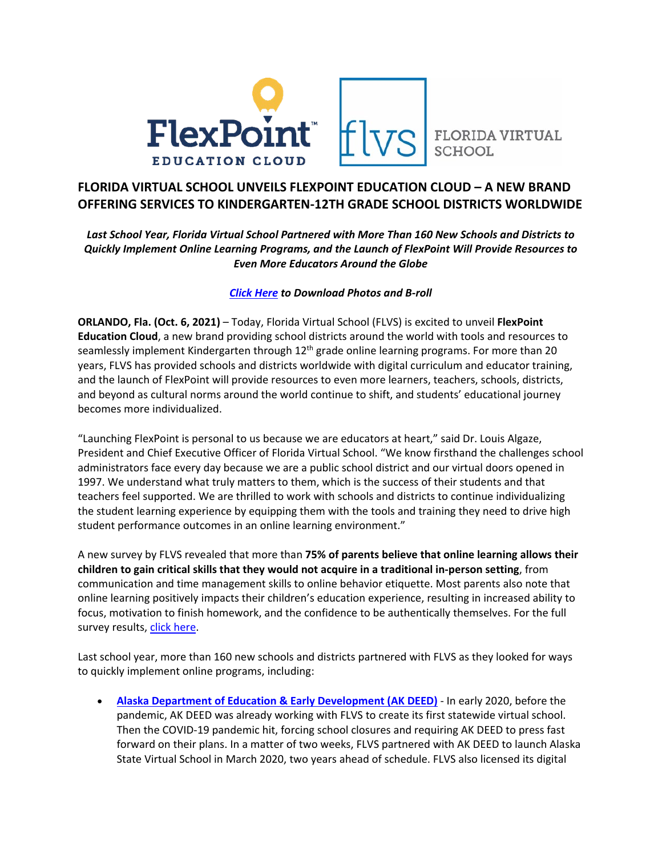



**FLORIDA VIRTUAL** 

## **FLORIDA VIRTUAL SCHOOL UNVEILS FLEXPOINT EDUCATION CLOUD – A NEW BRAND OFFERING SERVICES TO KINDERGARTEN-12TH GRADE SCHOOL DISTRICTS WORLDWIDE**

*Last School Year, Florida Virtual School Partnered with More Than 160 New Schools and Districts to Quickly Implement Online Learning Programs, and the Launch of FlexPoint Will Provide Resources to Even More Educators Around the Globe*

## *[Click Here](https://drive.google.com/drive/folders/1HRcrHCzU9nfHCQtoY-Qp3r9EWWSPg9Wc?usp=sharing) to Download Photos and B-roll*

**ORLANDO, Fla. (Oct. 6, 2021)** – Today, Florida Virtual School (FLVS) is excited to unveil **FlexPoint Education Cloud**, a new brand providing school districts around the world with tools and resources to seamlessly implement Kindergarten through 12<sup>th</sup> grade online learning programs. For more than 20 years, FLVS has provided schools and districts worldwide with digital curriculum and educator training, and the launch of FlexPoint will provide resources to even more learners, teachers, schools, districts, and beyond as cultural norms around the world continue to shift, and students' educational journey becomes more individualized.

"Launching FlexPoint is personal to us because we are educators at heart," said Dr. Louis Algaze, President and Chief Executive Officer of Florida Virtual School. "We know firsthand the challenges school administrators face every day because we are a public school district and our virtual doors opened in 1997. We understand what truly matters to them, which is the success of their students and that teachers feel supported. We are thrilled to work with schools and districts to continue individualizing the student learning experience by equipping them with the tools and training they need to drive high student performance outcomes in an online learning environment."

A new survey by FLVS revealed that more than **75% of parents believe that online learning allows their children to gain critical skills that they would not acquire in a traditional in-person setting**, from communication and time management skills to online behavior etiquette. Most parents also note that online learning positively impacts their children's education experience, resulting in increased ability to focus, motivation to finish homework, and the confidence to be authentically themselves. For the full survey results, [click here.](http://www.flexpointeducation.com/news/survey)

Last school year, more than 160 new schools and districts partnered with FLVS as they looked for ways to quickly implement online programs, including:

• **[Alaska Department of Education & Early Development \(AK DEED\)](http://www.flexpointeducation.com/RealResultsAlaska)** - In early 2020, before the pandemic, AK DEED was already working with FLVS to create its first statewide virtual school. Then the COVID-19 pandemic hit, forcing school closures and requiring AK DEED to press fast forward on their plans. In a matter of two weeks, FLVS partnered with AK DEED to launch Alaska State Virtual School in March 2020, two years ahead of schedule. FLVS also licensed its digital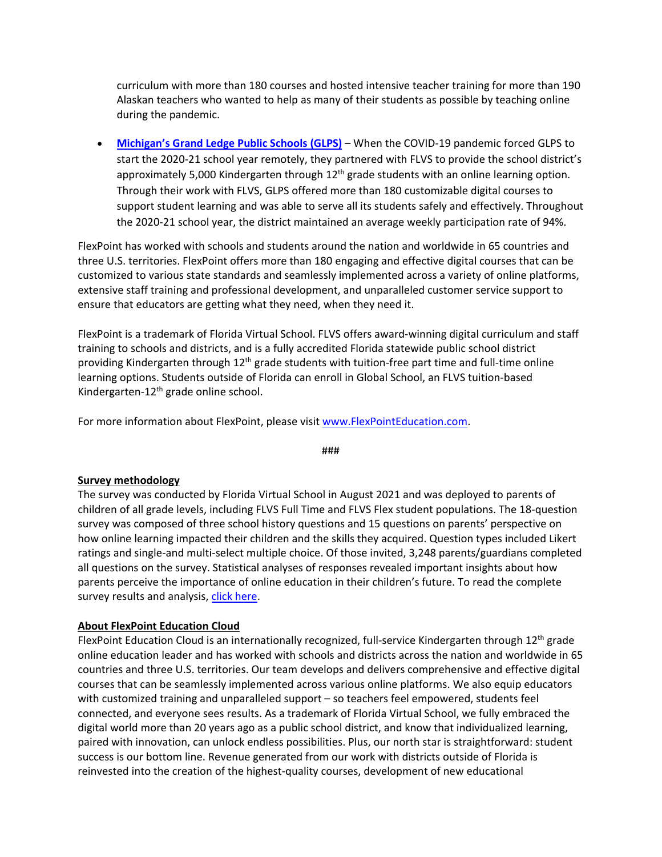curriculum with more than 180 courses and hosted intensive teacher training for more than 190 Alaskan teachers who wanted to help as many of their students as possible by teaching online during the pandemic.

• **[Michigan's Grand Ledge Public Schools \(GLPS\)](http://www.flexpointeducation.com/RealResultsMichigan)** – When the COVID-19 pandemic forced GLPS to start the 2020-21 school year remotely, they partnered with FLVS to provide the school district's approximately 5,000 Kindergarten through 12<sup>th</sup> grade students with an online learning option. Through their work with FLVS, GLPS offered more than 180 customizable digital courses to support student learning and was able to serve all its students safely and effectively. Throughout the 2020-21 school year, the district maintained an average weekly participation rate of 94%.

FlexPoint has worked with schools and students around the nation and worldwide in 65 countries and three U.S. territories. FlexPoint offers more than 180 engaging and effective digital courses that can be customized to various state standards and seamlessly implemented across a variety of online platforms, extensive staff training and professional development, and unparalleled customer service support to ensure that educators are getting what they need, when they need it.

FlexPoint is a trademark of Florida Virtual School. FLVS offers award-winning digital curriculum and staff training to schools and districts, and is a fully accredited Florida statewide public school district providing Kindergarten through 12<sup>th</sup> grade students with tuition-free part time and full-time online learning options. Students outside of Florida can enroll in Global School, an FLVS tuition-based Kindergarten-12th grade online school.

For more information about FlexPoint, please visit [www.FlexPointEducation.com.](http://www.flexpointeducation.com/)

###

## **Survey methodology**

The survey was conducted by Florida Virtual School in August 2021 and was deployed to parents of children of all grade levels, including FLVS Full Time and FLVS Flex student populations. The 18-question survey was composed of three school history questions and 15 questions on parents' perspective on how online learning impacted their children and the skills they acquired. Question types included Likert ratings and single-and multi-select multiple choice. Of those invited, 3,248 parents/guardians completed all questions on the survey. Statistical analyses of responses revealed important insights about how parents perceive the importance of online education in their children's future. To read the complete survey results and analysis[, click here.](http://www.flexpointeducation.com/news/survey)

## **About FlexPoint Education Cloud**

FlexPoint Education Cloud is an internationally recognized, full-service Kindergarten through  $12<sup>th</sup>$  grade online education leader and has worked with schools and districts across the nation and worldwide in 65 countries and three U.S. territories. Our team develops and delivers comprehensive and effective digital courses that can be seamlessly implemented across various online platforms. We also equip educators with customized training and unparalleled support – so teachers feel empowered, students feel connected, and everyone sees results. As a trademark of Florida Virtual School, we fully embraced the digital world more than 20 years ago as a public school district, and know that individualized learning, paired with innovation, can unlock endless possibilities. Plus, our north star is straightforward: student success is our bottom line. Revenue generated from our work with districts outside of Florida is reinvested into the creation of the highest-quality courses, development of new educational